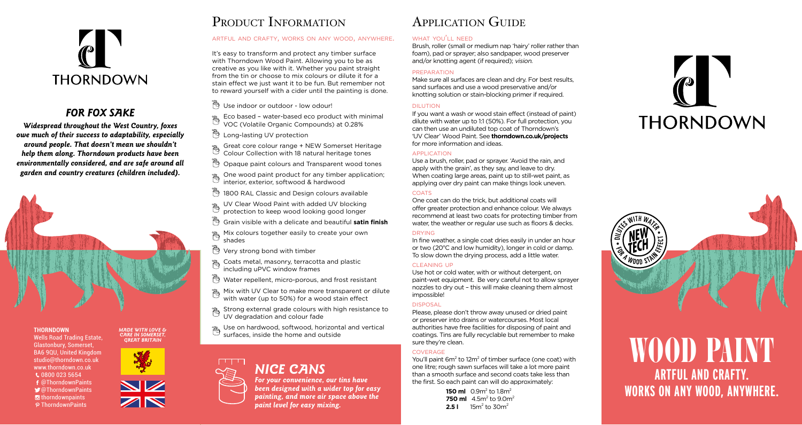

## *FOR FOX SAKE*

*Widespread throughout the West Country, foxes owe much of their success to adaptability, especially around people. That doesn't mean we shouldn't help them along. Thorndown products have been environmentally considered, and are safe around all garden and country creatures (children included).*



## **THORNDOWN**

Wells Road Trading Estate, Glastonbury, Somerset, BA6 9QU, United Kingdom studio@thorndown.co.uk www.thorndown.co.uk  $0.080000235654$ @ThorndownPaints @ThorndownPaints  $\blacksquare$  thorndownpaints P ThorndownPaints



#### *MADE WITH LOVE & CARE IN SOMERSET, GREAT BRITAIN*



## PRODUCT INFORMATION

## artful and crafty, works on any wood, anywhere.

It's easy to transform and protect any timber surface with Thorndown Wood Paint. Allowing you to be as creative as you like with it. Whether you paint straight from the tin or choose to mix colours or dilute it for a stain effect we just want it to be fun. But remember not to reward yourself with a cider until the painting is done.

- Duse indoor or outdoor low odour!
- Eco based water-based eco product with minimal VOC (Volatile Organic Compounds) at 0.28%
- <sup>う</sup>Long-lasting UV protection
- Great core colour range + NEW Somerset Heritage
- Colour Collection with 18 natural heritage tones
- $\beta$  Opaque paint colours and Transparent wood tones
- One wood paint product for any timber application;  $\mathbb{B}$
- interior, exterior, softwood & hardwood
- 1800 RAL Classic and Design colours available
- UV Clear Wood Paint with added UV blocking
- protection to keep wood looking good longer
- Grain visible with a delicate and beautiful **satin finish**
- Ë Mix colours together easily to create your own shades
- Very strong bond with timber
- <sup>3</sup> Coats metal, masonry, terracotta and plastic
- including uPVC window frames
- Water repellent, micro-porous, and frost resistant
- Mix with UV Clear to make more transparent or dilute with water (up to 50%) for a wood stain effect
- $\mathcal{B}_s$  Strong external grade colours with high resistance to
- UV degradation and colour fade
- Use on hardwood, softwood, horizontal and vertical surfaces, inside the home and outside

*NICE CANS*

*For your convenience, our tins have been designed with a wider top for easy painting, and more air space above the paint level for easy mixing.*

# Application Guide

#### what you'll need

Brush, roller (small or medium nap 'hairy' roller rather than foam), pad or sprayer; also sandpaper, wood preserver and/or knotting agent (if required); vision.

#### preparation

Make sure all surfaces are clean and dry. For best results, sand surfaces and use a wood preservative and/or knotting solution or stain-blocking primer if required.

#### dilution

If you want a wash or wood stain effect (instead of paint) dilute with water up to 1:1 (50%). For full protection, you can then use an undiluted top coat of Thorndown's 'UV Clear' Wood Paint. See **thorndown.co.uk/projects** for more information and ideas.

#### application

Use a brush, roller, pad or sprayer. 'Avoid the rain, and apply with the grain', as they say, and leave to dry. When coating large areas, paint up to still-wet paint, as applying over dry paint can make things look uneven.

#### COATS

One coat can do the trick, but additional coats will offer greater protection and enhance colour. We always recommend at least two coats for protecting timber from water, the weather or regular use such as floors & decks.

#### drying

In fine weather, a single coat dries easily in under an hour or two (20°C and low humidity), longer in cold or damp. To slow down the drying process, add a little water.

#### cleaning up

Use hot or cold water, with or without detergent, on paint-wet equipment. Be very careful not to allow sprayer nozzles to dry out – this will make cleaning them almost impossible!

#### **DISPOSAL**

Please, please don't throw away unused or dried paint or preserver into drains or watercourses. Most local authorities have free facilities for disposing of paint and coatings. Tins are fully recyclable but remember to make sure they're clean.

#### **COVERAGE**

You'll paint  $6m^2$  to  $12m^2$  of timber surface (one coat) with one litre; rough sawn surfaces will take a lot more paint than a smooth surface and second coats take less than the first. So each paint can will do approximately:

> **150 ml**  $\,$  0.9m $^2$  to 1.8m $^2$ **750 ml** 4.5m<sup>2</sup> to 9.0m<sup>2</sup> **2.5 l** 15m<sup>2</sup> to 30m<sup>2</sup>





# **ARTFUL AND CRAFTY. WORKS ON ANY WOOD, ANYWHERE.** WOOD PAINT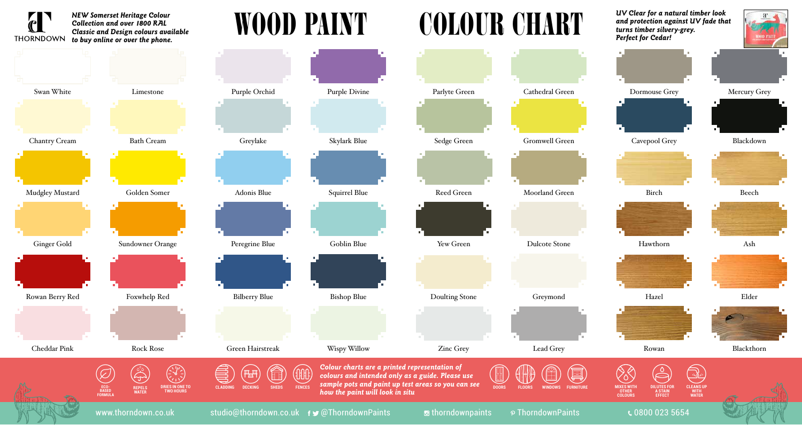

# Chantry Cream Bath Cream Greylake Skylark Blue Sedge Green Gromwell Green Cavepool Grey Blackdown Swan White Limestone Purple Orchid Purple Divine Parlyte Green Cathedral Green Dormouse Grey Mercury Grey Mudgley Mustard Golden Somer Adonis Blue Squirrel Blue Reed Green Moorland Green Birch Birch Beech Ginger Gold Sundowner Orange Peregrine Blue Goblin Blue Yew Green Dulcote Stone Hawthorn Hawthorn Ash





**ECO-BASED FORMULA**



WOOD PAINT



*Colour charts are a printed representation of colours and intended only as a guide. Please use* 

*how the paint will look in situ*











*UV Clear for a natural timber look and protection against UV fade that turns timber silvery-grey. Perfect for Cedar!*







**WATER**

ECO

www.thorndown.co.uk studio@thorndown.co.uk fy@ThorndownPaints of thorndownpaints P ThorndownPaints C 0800 023 5654

**MIXES WITH OTHER COLOURS**

 $\genfrac{\{}{\}}{0pt}{}{8}{\,}$ 

**A STAIN EFFECT**

 $\widehat{\mathbb{P}}$ 

**CLEANS UP WITH WATER**

e)<br>Se